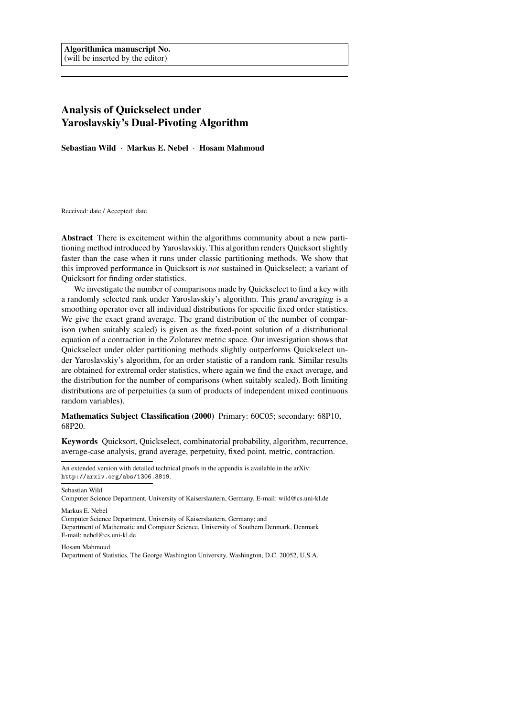# Analysis of Quickselect under Yaroslavskiy's Dual-Pivoting Algorithm

Sebastian Wild · Markus E. Nebel · Hosam Mahmoud

Received: date / Accepted: date

Abstract There is excitement within the algorithms community about a new partitioning method introduced by Yaroslavskiy. This algorithm renders Quicksort slightly faster than the case when it runs under classic partitioning methods. We show that this improved performance in Quicksort is *not* sustained in Quickselect; a variant of Quicksort for finding order statistics.

We investigate the number of comparisons made by Quickselect to find a key with a randomly selected rank under Yaroslavskiy's algorithm. This grand averaging is a smoothing operator over all individual distributions for specific fixed order statistics. We give the exact grand average. The grand distribution of the number of comparison (when suitably scaled) is given as the fixed-point solution of a distributional equation of a contraction in the Zolotarev metric space. Our investigation shows that Quickselect under older partitioning methods slightly outperforms Quickselect under Yaroslavskiy's algorithm, for an order statistic of a random rank. Similar results are obtained for extremal order statistics, where again we find the exact average, and the distribution for the number of comparisons (when suitably scaled). Both limiting distributions are of perpetuities (a sum of products of independent mixed continuous random variables).

Mathematics Subject Classification (2000) Primary: 60C05; secondary: 68P10, 68P20.

Keywords Quicksort, Quickselect, combinatorial probability, algorithm, recurrence, average-case analysis, grand average, perpetuity, fixed point, metric, contraction.

An extended version with detailed technical proofs in the appendix is available in the arXiv: <http://arxiv.org/abs/1306.3819>.

Sebastian Wild

Computer Science Department, University of Kaiserslautern, Germany, E-mail: wild@cs.uni-kl.de

Markus E. Nebel

Computer Science Department, University of Kaiserslautern, Germany; and Department of Mathematic and Computer Science, University of Southern Denmark, Denmark E-mail: nebel@cs.uni-kl.de

Hosam Mahmoud

Department of Statistics, The George Washington University, Washington, D.C. 20052, U.S.A.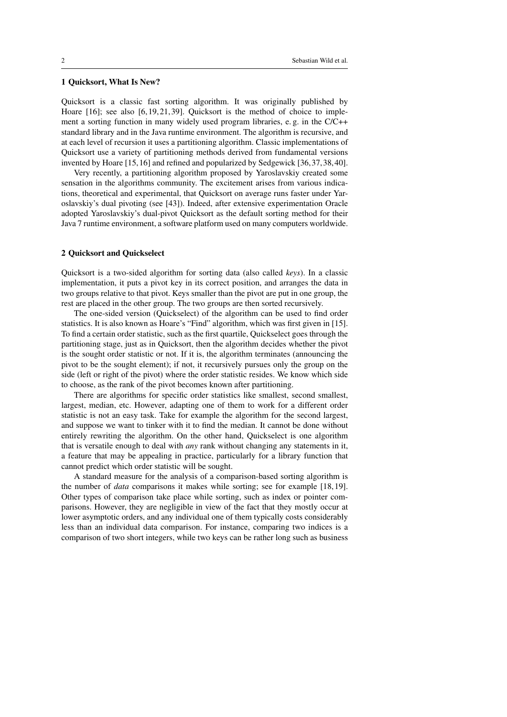#### 1 Quicksort, What Is New?

Quicksort is a classic fast sorting algorithm. It was originally published by Hoare  $[16]$ ; see also  $[6, 19, 21, 39]$  $[6, 19, 21, 39]$  $[6, 19, 21, 39]$  $[6, 19, 21, 39]$ . Quicksort is the method of choice to implement a sorting function in many widely used program libraries, e. g. in the C/C++ standard library and in the Java runtime environment. The algorithm is recursive, and at each level of recursion it uses a partitioning algorithm. Classic implementations of Quicksort use a variety of partitioning methods derived from fundamental versions invented by Hoare [\[15,](#page-20-4) [16\]](#page-20-0) and refined and popularized by Sedgewick [\[36,](#page-21-1) [37,](#page-21-2) [38,](#page-21-3) [40\]](#page-21-4).

Very recently, a partitioning algorithm proposed by Yaroslavskiy created some sensation in the algorithms community. The excitement arises from various indications, theoretical and experimental, that Quicksort on average runs faster under Yaroslavskiy's dual pivoting (see [\[43\]](#page-21-5)). Indeed, after extensive experimentation Oracle adopted Yaroslavskiy's dual-pivot Quicksort as the default sorting method for their Java 7 runtime environment, a software platform used on many computers worldwide.

#### 2 Quicksort and Quickselect

Quicksort is a two-sided algorithm for sorting data (also called *keys*). In a classic implementation, it puts a pivot key in its correct position, and arranges the data in two groups relative to that pivot. Keys smaller than the pivot are put in one group, the rest are placed in the other group. The two groups are then sorted recursively.

The one-sided version (Quickselect) of the algorithm can be used to find order statistics. It is also known as Hoare's "Find" algorithm, which was first given in [\[15\]](#page-20-4). To find a certain order statistic, such as the first quartile, Quickselect goes through the partitioning stage, just as in Quicksort, then the algorithm decides whether the pivot is the sought order statistic or not. If it is, the algorithm terminates (announcing the pivot to be the sought element); if not, it recursively pursues only the group on the side (left or right of the pivot) where the order statistic resides. We know which side to choose, as the rank of the pivot becomes known after partitioning.

There are algorithms for specific order statistics like smallest, second smallest, largest, median, etc. However, adapting one of them to work for a different order statistic is not an easy task. Take for example the algorithm for the second largest, and suppose we want to tinker with it to find the median. It cannot be done without entirely rewriting the algorithm. On the other hand, Quickselect is one algorithm that is versatile enough to deal with *any* rank without changing any statements in it, a feature that may be appealing in practice, particularly for a library function that cannot predict which order statistic will be sought.

A standard measure for the analysis of a comparison-based sorting algorithm is the number of *data* comparisons it makes while sorting; see for example [\[18,](#page-20-5) [19\]](#page-20-2). Other types of comparison take place while sorting, such as index or pointer comparisons. However, they are negligible in view of the fact that they mostly occur at lower asymptotic orders, and any individual one of them typically costs considerably less than an individual data comparison. For instance, comparing two indices is a comparison of two short integers, while two keys can be rather long such as business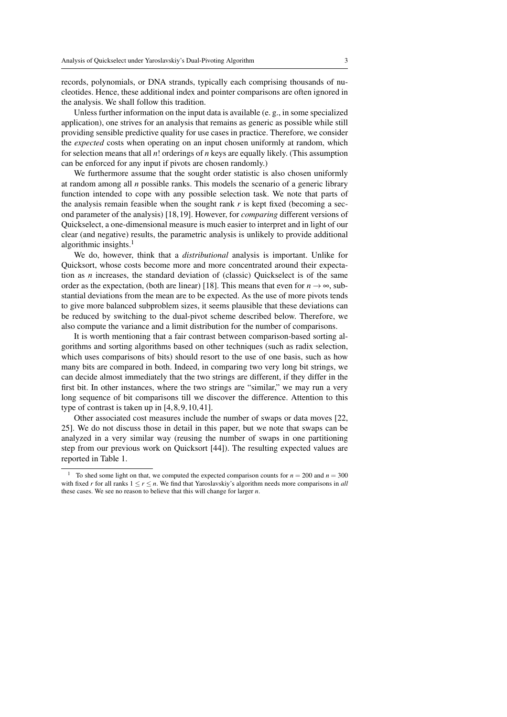records, polynomials, or DNA strands, typically each comprising thousands of nucleotides. Hence, these additional index and pointer comparisons are often ignored in the analysis. We shall follow this tradition.

Unless further information on the input data is available (e. g., in some specialized application), one strives for an analysis that remains as generic as possible while still providing sensible predictive quality for use cases in practice. Therefore, we consider the *expected* costs when operating on an input chosen uniformly at random, which for selection means that all *n*! orderings of *n* keys are equally likely. (This assumption can be enforced for any input if pivots are chosen randomly.)

We furthermore assume that the sought order statistic is also chosen uniformly at random among all *n* possible ranks. This models the scenario of a generic library function intended to cope with any possible selection task. We note that parts of the analysis remain feasible when the sought rank *r* is kept fixed (becoming a second parameter of the analysis) [\[18,](#page-20-5) [19\]](#page-20-2). However, for *comparing* different versions of Quickselect, a one-dimensional measure is much easier to interpret and in light of our clear (and negative) results, the parametric analysis is unlikely to provide additional algorithmic insights.<sup>[1](#page-2-0)</sup>

We do, however, think that a *distributional* analysis is important. Unlike for Quicksort, whose costs become more and more concentrated around their expectation as *n* increases, the standard deviation of (classic) Quickselect is of the same order as the expectation, (both are linear) [\[18\]](#page-20-5). This means that even for  $n \to \infty$ , substantial deviations from the mean are to be expected. As the use of more pivots tends to give more balanced subproblem sizes, it seems plausible that these deviations can be reduced by switching to the dual-pivot scheme described below. Therefore, we also compute the variance and a limit distribution for the number of comparisons.

It is worth mentioning that a fair contrast between comparison-based sorting algorithms and sorting algorithms based on other techniques (such as radix selection, which uses comparisons of bits) should resort to the use of one basis, such as how many bits are compared in both. Indeed, in comparing two very long bit strings, we can decide almost immediately that the two strings are different, if they differ in the first bit. In other instances, where the two strings are "similar," we may run a very long sequence of bit comparisons till we discover the difference. Attention to this type of contrast is taken up in [\[4,](#page-20-6) [8,](#page-20-7) [9,](#page-20-8) [10,](#page-20-9) [41\]](#page-21-6).

Other associated cost measures include the number of swaps or data moves [\[22,](#page-20-10) [25\]](#page-20-11). We do not discuss those in detail in this paper, but we note that swaps can be analyzed in a very similar way (reusing the number of swaps in one partitioning step from our previous work on Quicksort [\[44\]](#page-21-7)). The resulting expected values are reported in Table [1.](#page-18-0)

<span id="page-2-0"></span><sup>&</sup>lt;sup>1</sup> To shed some light on that, we computed the expected comparison counts for  $n = 200$  and  $n = 300$ with fixed *r* for all ranks  $1 \le r \le n$ . We find that Yaroslavskiy's algorithm needs more comparisons in *all* these cases. We see no reason to believe that this will change for larger *n*.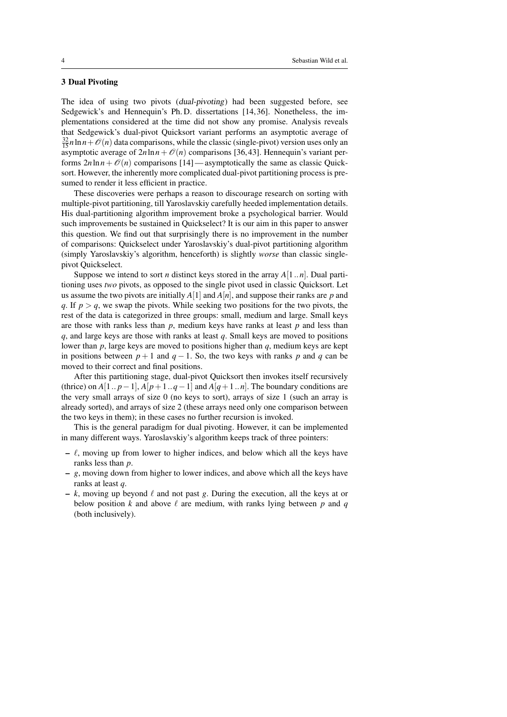## 3 Dual Pivoting

The idea of using two pivots (dual-pivoting) had been suggested before, see Sedgewick's and Hennequin's Ph. D. dissertations [\[14,](#page-20-12) [36\]](#page-21-1). Nonetheless, the implementations considered at the time did not show any promise. Analysis reveals that Sedgewick's dual-pivot Quicksort variant performs an asymptotic average of  $\frac{32}{15}n\ln n + \mathcal{O}(n)$  data comparisons, while the classic (single-pivot) version uses only an asymptotic average of  $2n \ln n + \mathcal{O}(n)$  comparisons [\[36,](#page-21-1) [43\]](#page-21-5). Hennequin's variant performs  $2n \ln n + \mathcal{O}(n)$  comparisons [\[14\]](#page-20-12) — asymptotically the same as classic Quicksort. However, the inherently more complicated dual-pivot partitioning process is presumed to render it less efficient in practice.

These discoveries were perhaps a reason to discourage research on sorting with multiple-pivot partitioning, till Yaroslavskiy carefully heeded implementation details. His dual-partitioning algorithm improvement broke a psychological barrier. Would such improvements be sustained in Quickselect? It is our aim in this paper to answer this question. We find out that surprisingly there is no improvement in the number of comparisons: Quickselect under Yaroslavskiy's dual-pivot partitioning algorithm (simply Yaroslavskiy's algorithm, henceforth) is slightly *worse* than classic singlepivot Quickselect.

Suppose we intend to sort *n* distinct keys stored in the array *A*[1..*n*]. Dual partitioning uses *two* pivots, as opposed to the single pivot used in classic Quicksort. Let us assume the two pivots are initially *A*[1] and *A*[*n*], and suppose their ranks are *p* and *q*. If  $p > q$ , we swap the pivots. While seeking two positions for the two pivots, the rest of the data is categorized in three groups: small, medium and large. Small keys are those with ranks less than  $p$ , medium keys have ranks at least  $p$  and less than *q*, and large keys are those with ranks at least *q*. Small keys are moved to positions lower than *p*, large keys are moved to positions higher than *q*, medium keys are kept in positions between  $p + 1$  and  $q - 1$ . So, the two keys with ranks p and q can be moved to their correct and final positions.

After this partitioning stage, dual-pivot Quicksort then invokes itself recursively (thrice) on  $A[1\..p-1], A[p+1..q-1]$  and  $A[q+1..n]$ . The boundary conditions are the very small arrays of size 0 (no keys to sort), arrays of size 1 (such an array is already sorted), and arrays of size 2 (these arrays need only one comparison between the two keys in them); in these cases no further recursion is invoked.

This is the general paradigm for dual pivoting. However, it can be implemented in many different ways. Yaroslavskiy's algorithm keeps track of three pointers:

- $\ell$ , moving up from lower to higher indices, and below which all the keys have ranks less than *p*.
- *g*, moving down from higher to lower indices, and above which all the keys have ranks at least *q*.
- $k$ , moving up beyond  $\ell$  and not past *g*. During the execution, all the keys at or below position *k* and above  $\ell$  are medium, with ranks lying between *p* and *q* (both inclusively).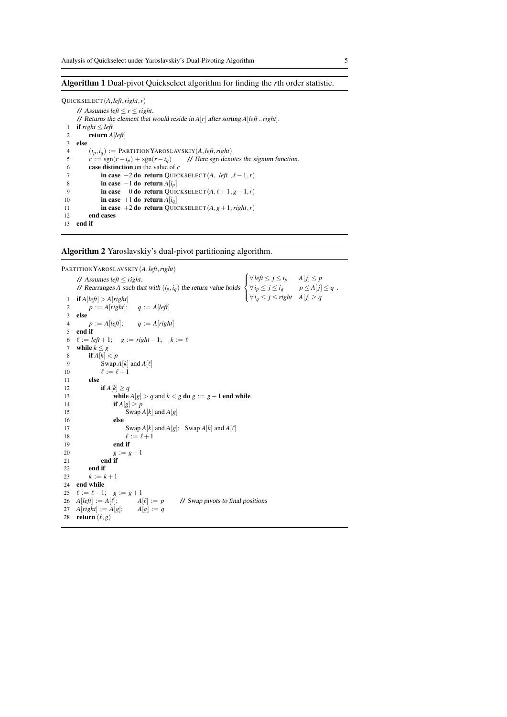#### <span id="page-4-0"></span>Algorithm 1 Dual-pivot Quickselect algorithm for finding the *r*th order statistic.

QUICKSELECT (*A*,*left*,*right*,*r*)

**//** Assumes *left* ≤ *r* ≤ *right*. **//** Returns the element that would reside in *A*[*r*] after sorting *A*[*left*..*right*]. 1 if *right* ≤ *left* 2 return *A*[*left*] else 4  $(i_p, i_q) := \text{PARTITION} \text{YAROSLAVSKIY}(A, \text{left}, \text{right})$ 5  $c := \text{sgn}(r - i_p) + \text{sgn}(r - i_q)$  // Here sgn denotes the signum function.<br>6 **case distinction** on the value of c case distinction on the value of *c* 7 **in case**  $-2$  do return QUICKSELECT  $(A, left, \ell-1, r)$ 8 in case −1 do return *A*[*ip*] 9 in case 0 do return QUICKSELECT  $(A, \ell+1, g-1, r)$ <br>10 in case +1 do return A[i<sub>c</sub>] 10 **in case** +1 **do return**  $A[i_q]$ <br>11 **in case** +2 **do return** QUIG in case  $+2$  do return QUICKSELECT  $(A, g + 1, right, r)$ 12 end cases 13 end if

<span id="page-4-1"></span>Algorithm 2 Yaroslavskiy's dual-pivot partitioning algorithm.

```
PARTITIONYAROSLAVSKIY (A,left,right)
       // Assumes left \leq right.
       / \forallix<sub>2</sub>s \existsj \exists i<sup>n</sup><sub>n</sub> \exists j \exists i<sup>n</sup> \forall j \forall j \exists \exists \forall j \forall j \forall j \forall j \exists \forall \exists \forall \exists \forall \exists \forall \exists \forall \exists \forall \exists \forall \forall \forall \forall \big\{\forall \text{ left} \leq j \leq i_p \quad A[j] \leq p\big\}
∀ iq ≤ j ≤ right A[ j] ≥ q
                                                                                                             p \leq A[j] \leq q.
  1 if A[left] > A[right]2 p := A[right]; \quad q := A[left]3 else
  4 p := A[\text{left}]; \quad q := A[\text{right}]5 end if<br>6 \ell := \ell\ell := \text{left} + 1; \quad g := \text{right} - 1; \quad k := \ell7 while k \leq g8 if A[k] < p<br>9 Swap.
                  Swap A[k] and A[\ell]10 \ell := \ell + 111 else
 12 if A[k] > q13 while A[g] > q and k < g do g := g - 1 end while<br>
14 if A[g] > pif A[g] \geq p15 Swap A[k] and A[g]
 16 else<br>17
                             Swap A[k] and A[g]; Swap A[k] and A[\ell]18 \ell := \ell + 1<br>19 end if
19 end if<br>20 e \frac{1}{e} = eg := g - 121 end if 22 end if
            end if
23 k := k + 124 end while
25 \ell := \ell - 1; g := g + 1<br>26 A[left] := A[\ell]; A[\ell] := p26 A[left := A[\ell]; A[\ell] := p // Swap pivots to final positions
27 A[right] := A[g]; A[g] := q28 return (\ell, g)
```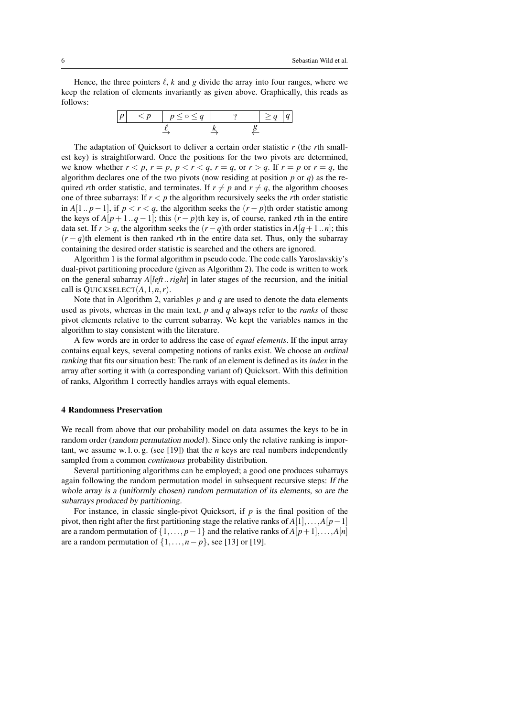Hence, the three pointers  $\ell$ ,  $k$  and  $g$  divide the array into four ranges, where we keep the relation of elements invariantly as given above. Graphically, this reads as follows:

*p* < *p q* ` ≥ *q g p* ≤ ◦ ≤ *q k* → → ← ?

The adaptation of Quicksort to deliver a certain order statistic *r* (the *r*th smallest key) is straightforward. Once the positions for the two pivots are determined, we know whether  $r < p$ ,  $r = p$ ,  $p < r < q$ ,  $r = q$ , or  $r > q$ . If  $r = p$  or  $r = q$ , the algorithm declares one of the two pivots (now residing at position *p* or *q*) as the required *r*th order statistic, and terminates. If  $r \neq p$  and  $r \neq q$ , the algorithm chooses one of three subarrays: If *r* < *p* the algorithm recursively seeks the *r*th order statistic in *A*[1.. *p*−1], if *p* < *r* < *q*, the algorithm seeks the  $(r - p)$ th order statistic among the keys of  $A[p+1..q-1]$ ; this  $(r-p)$ th key is, of course, ranked *r*th in the entire data set. If  $r > q$ , the algorithm seeks the  $(r - q)$ th order statistics in  $A[q + 1..n]$ ; this  $(r - q)$ th element is then ranked *r*th in the entire data set. Thus, only the subarray containing the desired order statistic is searched and the others are ignored.

Algorithm [1](#page-4-0) is the formal algorithm in pseudo code. The code calls Yaroslavskiy's dual-pivot partitioning procedure (given as Algorithm [2\)](#page-4-1). The code is written to work on the general subarray *A*[*left*..*right*] in later stages of the recursion, and the initial call is QUICKSELECT $(A, 1, n, r)$ .

Note that in Algorithm [2,](#page-4-1) variables *p* and *q* are used to denote the data elements used as pivots, whereas in the main text, *p* and *q* always refer to the *ranks* of these pivot elements relative to the current subarray. We kept the variables names in the algorithm to stay consistent with the literature.

A few words are in order to address the case of *equal elements*. If the input array contains equal keys, several competing notions of ranks exist. We choose an ordinal ranking that fits our situation best: The rank of an element is defined as its *index* in the array after sorting it with (a corresponding variant of) Quicksort. With this definition of ranks, Algorithm [1](#page-4-0) correctly handles arrays with equal elements.

#### 4 Randomness Preservation

We recall from above that our probability model on data assumes the keys to be in random order (random permutation model). Since only the relative ranking is important, we assume w. l. o. g. (see [\[19\]](#page-20-2)) that the *n* keys are real numbers independently sampled from a common *continuous* probability distribution.

Several partitioning algorithms can be employed; a good one produces subarrays again following the random permutation model in subsequent recursive steps: If the whole array is a (uniformly chosen) random permutation of its elements, so are the subarrays produced by partitioning.

For instance, in classic single-pivot Quicksort, if *p* is the final position of the pivot, then right after the first partitioning stage the relative ranks of *A*[1],...,*A*[*p*−1] are a random permutation of  $\{1,\ldots,p-1\}$  and the relative ranks of  $A[p+1],\ldots,A[n]$ are a random permutation of  $\{1,\ldots,n-p\}$ , see [\[13\]](#page-20-13) or [\[19\]](#page-20-2).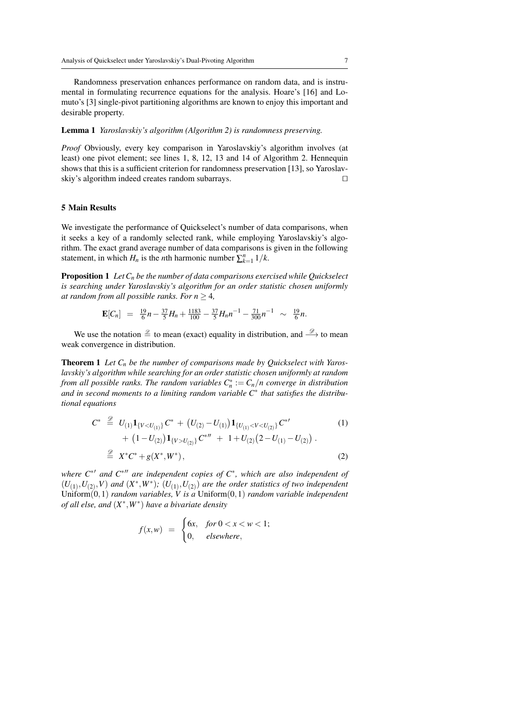Randomness preservation enhances performance on random data, and is instrumental in formulating recurrence equations for the analysis. Hoare's [\[16\]](#page-20-0) and Lomuto's [\[3\]](#page-20-14) single-pivot partitioning algorithms are known to enjoy this important and desirable property.

#### Lemma 1 *Yaroslavskiy's algorithm (Algorithm [2\)](#page-4-1) is randomness preserving.*

*Proof* Obviously, every key comparison in Yaroslavskiy's algorithm involves (at least) one pivot element; see lines 1, 8, 12, 13 and 14 of Algorithm [2.](#page-4-1) Hennequin shows that this is a sufficient criterion for randomness preservation [\[13\]](#page-20-13), so Yaroslavskiy's algorithm indeed creates random subarrays.  $\square$ 

#### 5 Main Results

We investigate the performance of Quickselect's number of data comparisons, when it seeks a key of a randomly selected rank, while employing Yaroslavskiy's algorithm. The exact grand average number of data comparisons is given in the following statement, in which  $H_n$  is the *n*th harmonic number  $\sum_{k=1}^{n} 1/k$ .

<span id="page-6-1"></span>Proposition 1 *Let C<sup>n</sup> be the number of data comparisons exercised while Quickselect is searching under Yaroslavskiy's algorithm for an order statistic chosen uniformly at random from all possible ranks. For*  $n > 4$ *,* 

$$
\mathbf{E}[C_n] = \frac{19}{6}n - \frac{37}{5}H_n + \frac{1183}{100} - \frac{37}{5}H_n n^{-1} - \frac{71}{300}n^{-1} \sim \frac{19}{6}n.
$$

We use the notation  $\stackrel{\mathscr{D}}{=}$  to mean (exact) equality in distribution, and  $\stackrel{\mathscr{D}}{ \longrightarrow}$  to mean weak convergence in distribution.

<span id="page-6-0"></span>Theorem 1 *Let C<sup>n</sup> be the number of comparisons made by Quickselect with Yaroslavskiy's algorithm while searching for an order statistic chosen uniformly at random from all possible ranks. The random variables C*<sup>∗</sup> *n* := *Cn*/*n converge in distribution and in second moments to a limiting random variable C*<sup>∗</sup> *that satisfies the distributional equations*

$$
C^* \stackrel{\mathscr{D}}{=} U_{(1)} \mathbf{1}_{\{V < U_{(1)}\}} C^* + (U_{(2)} - U_{(1)}) \mathbf{1}_{\{U_{(1)} < V < U_{(2)}\}} C^{*'} \\
+ (1 - U_{(2)}) \mathbf{1}_{\{V > U_{(2)}\}} C^{*''} + 1 + U_{(2)} (2 - U_{(1)} - U_{(2)}) \ . \\
\stackrel{\mathscr{D}}{=} X^* C^* + g(X^*, W^*),
$$
\n(2)

*where*  $C^*$ <sup>*'*</sup> *and*  $C^*$ <sup>*''*</sup> *are independent copies of*  $C^*$ *, which are also independent of*  $(U_{(1)}, U_{(2)}, V)$  and  $(X^*, W^*)$ ;  $(U_{(1)}, U_{(2)})$  are the order statistics of two independent Uniform(0,1) *random variables, V is a* Uniform(0,1) *random variable independent of all else, and* (*X* ∗ ,*W*<sup>∗</sup> ) *have a bivariate density*

<span id="page-6-2"></span>
$$
f(x, w) = \begin{cases} 6x, & \text{for } 0 < x < w < 1; \\ 0, & \text{elsewhere,} \end{cases}
$$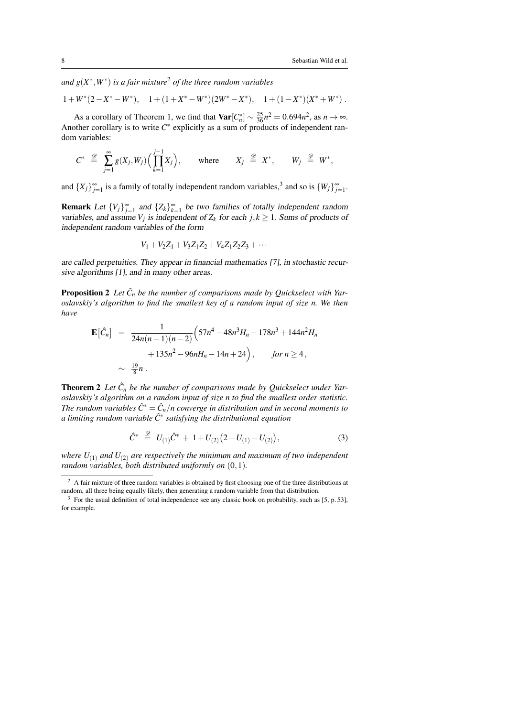*and g*(*X* ∗ ,*W*<sup>∗</sup> ) *is a fair mixture*[2](#page-7-0) *of the three random variables*

$$
1 + W^*(2 - X^* - W^*), \quad 1 + (1 + X^* - W^*)(2W^* - X^*), \quad 1 + (1 - X^*)(X^* + W^*)
$$

As a corollary of Theorem [1,](#page-6-0) we find that  $Var[C_n^*] \sim \frac{25}{36}n^2 = 0.69\overline{4}n^2$ , as  $n \to \infty$ . Another corollary is to write  $C^*$  explicitly as a sum of products of independent random variables:

$$
C^* \stackrel{\mathscr{D}}{=} \sum_{j=1}^\infty g(X_j,W_j) \Big( \prod_{k=1}^{j-1} X_j \Big), \quad \text{where} \quad X_j \stackrel{\mathscr{D}}{=} X^*, \quad W_j \stackrel{\mathscr{D}}{=} W^*,
$$

and  $\{X_j\}_{j=1}^{\infty}$  is a family of totally independent random variables,<sup>[3](#page-7-1)</sup> and so is  $\{W_j\}_{j=1}^{\infty}$ .

**Remark** Let  $\{V_j\}_{j=1}^{\infty}$  and  $\{Z_k\}_{k=1}^{\infty}$  be two families of totally independent random variables, and assume  $V_j$  is independent of  $Z_k$  for each  $j, k \ge 1$ . Sums of products of independent random variables of the form

$$
V_1 + V_2 Z_1 + V_3 Z_1 Z_2 + V_4 Z_1 Z_2 Z_3 + \cdots
$$

are called perpetuities. They appear in financial mathematics [\[7\]](#page-20-15), in stochastic recursive algorithms [\[1\]](#page-19-0), and in many other areas.

**Proposition 2** Let  $\hat{C}_n$  be the number of comparisons made by Quickselect with Yar*oslavskiy's algorithm to find the smallest key of a random input of size n. We then have*

$$
\mathbf{E} \left[ \hat{C}_n \right] = \frac{1}{24n(n-1)(n-2)} \Big( 57n^4 - 48n^3 H_n - 178n^3 + 144n^2 H_n + 135n^2 - 96nH_n - 14n + 24 \Big), \quad \text{for } n \ge 4,
$$
  

$$
\sim \frac{19}{8}n.
$$

<span id="page-7-2"></span>**Theorem 2** Let  $\hat{C}_n$  be the number of comparisons made by Quickselect under Yar*oslavskiy's algorithm on a random input of size n to find the smallest order statistic. The random variables C*ˆ<sup>∗</sup> = *C*ˆ *<sup>n</sup>*/*n converge in distribution and in second moments to a limiting random variable C*ˆ<sup>∗</sup> *satisfying the distributional equation*

$$
\hat{C}^* \stackrel{\mathscr{D}}{=} U_{(1)}\hat{C}^* + 1 + U_{(2)}(2 - U_{(1)} - U_{(2)}), \tag{3}
$$

*where*  $U_{(1)}$  *and*  $U_{(2)}$  *are respectively the minimum and maximum of two independent random variables, both distributed uniformly on* (0,1)*.*

<span id="page-7-0"></span><sup>&</sup>lt;sup>2</sup> A fair mixture of three random variables is obtained by first choosing one of the three distributions at random, all three being equally likely, then generating a random variable from that distribution.

<span id="page-7-1"></span><sup>&</sup>lt;sup>3</sup> For the usual definition of total independence see any classic book on probability, such as [\[5,](#page-20-16) p. 53], for example.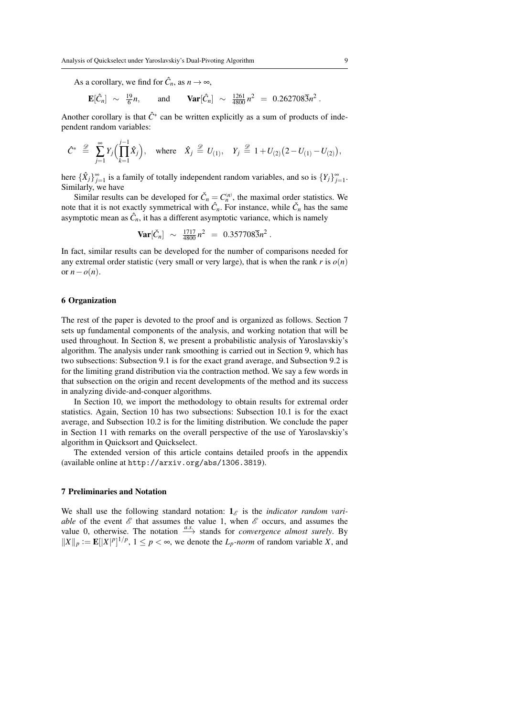As a corollary, we find for  $\hat{C}_n$ , as  $n \to \infty$ ,

$$
\mathbf{E}[\hat{C}_n] \sim \frac{19}{6}n, \quad \text{and} \quad \mathbf{Var}[\hat{C}_n] \sim \frac{1261}{4800}n^2 = 0.262708\overline{3}n^2.
$$

Another corollary is that  $\hat{C}^*$  can be written explicitly as a sum of products of independent random variables:

$$
\hat{C}^* \stackrel{\mathscr{D}}{=} \sum_{j=1}^\infty Y_j \Big( \prod_{k=1}^{j-1} \hat{X}_j \Big), \quad \text{where} \quad \hat{X}_j \stackrel{\mathscr{D}}{=} U_{(1)}, \quad Y_j \stackrel{\mathscr{D}}{=} 1 + U_{(2)} \big( 2 - U_{(1)} - U_{(2)} \big),
$$

here  $\{\hat{X}_j\}_{j=1}^{\infty}$  is a family of totally independent random variables, and so is  $\{Y_j\}_{j=1}^{\infty}$ . Similarly, we have

Similar results can be developed for  $\check{C}_n = C_n^{(n)}$ , the maximal order statistics. We note that it is not exactly symmetrical with  $\hat{C}_n$ . For instance, while  $\check{C}_n$  has the same asymptotic mean as  $\hat{C}_n$ , it has a different asymptotic variance, which is namely

$$
\mathbf{Var}[\tilde{C}_n] \sim \frac{1717}{4800} n^2 = 0.357708 \overline{3} n^2.
$$

In fact, similar results can be developed for the number of comparisons needed for any extremal order statistic (very small or very large), that is when the rank  $r$  is  $o(n)$ or  $n - o(n)$ .

#### 6 Organization

The rest of the paper is devoted to the proof and is organized as follows. Section [7](#page-8-0) sets up fundamental components of the analysis, and working notation that will be used throughout. In Section [8,](#page-10-0) we present a probabilistic analysis of Yaroslavskiy's algorithm. The analysis under rank smoothing is carried out in Section [9,](#page-10-1) which has two subsections: Subsection [9.1](#page-11-0) is for the exact grand average, and Subsection [9.2](#page-13-0) is for the limiting grand distribution via the contraction method. We say a few words in that subsection on the origin and recent developments of the method and its success in analyzing divide-and-conquer algorithms.

In Section [10,](#page-16-0) we import the methodology to obtain results for extremal order statistics. Again, Section [10](#page-16-0) has two subsections: Subsection [10.1](#page-16-1) is for the exact average, and Subsection [10.2](#page-17-0) is for the limiting distribution. We conclude the paper in Section [11](#page-18-1) with remarks on the overall perspective of the use of Yaroslavskiy's algorithm in Quicksort and Quickselect.

The extended version of this article contains detailed proofs in the appendix (available online at <http://arxiv.org/abs/1306.3819>).

#### <span id="page-8-0"></span>7 Preliminaries and Notation

We shall use the following standard notation:  $\mathbf{1}_{\mathscr{E}}$  is the *indicator random variable* of the event  $\mathscr E$  that assumes the value 1, when  $\mathscr E$  occurs, and assumes the value 0, otherwise. The notation  $\stackrel{a.s.}{\longrightarrow}$  stands for *convergence almost surely*. By  $||X||_p := \mathbb{E}[|X|^p]^{1/p}, 1 \leq p < \infty$ , we denote the *L<sub>p</sub>*-norm of random variable *X*, and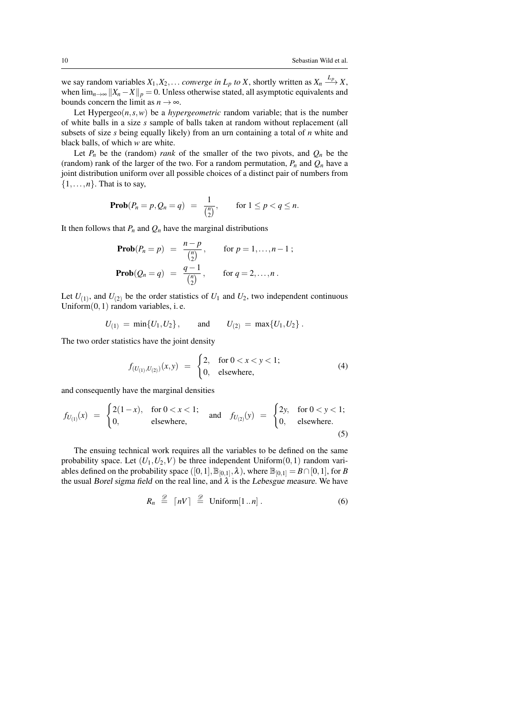we say random variables  $X_1, X_2, \ldots$  *converge in*  $L_p$  *to*  $X$ , shortly written as  $X_n \xrightarrow{L_p} X$ , when  $\lim_{n\to\infty}$   $||X_n - X||_p = 0$ . Unless otherwise stated, all asymptotic equivalents and bounds concern the limit as  $n \to \infty$ .

Let  $Hypergeo(n,s,w)$  be a *hypergeometric* random variable; that is the number of white balls in a size *s* sample of balls taken at random without replacement (all subsets of size *s* being equally likely) from an urn containing a total of *n* white and black balls, of which *w* are white.

Let  $P_n$  be the (random) *rank* of the smaller of the two pivots, and  $Q_n$  be the (random) rank of the larger of the two. For a random permutation,  $P_n$  and  $Q_n$  have a joint distribution uniform over all possible choices of a distinct pair of numbers from  $\{1,\ldots,n\}$ . That is to say,

$$
\mathbf{Prob}(P_n = p, Q_n = q) = \frac{1}{\binom{n}{2}}, \quad \text{for } 1 \le p < q \le n.
$$

It then follows that  $P_n$  and  $Q_n$  have the marginal distributions

**Prob**
$$
(P_n = p)
$$
 =  $\frac{n-p}{\binom{n}{2}}$ , for  $p = 1,...,n-1$ ;  
**Prob** $(Q_n = q)$  =  $\frac{q-1}{\binom{n}{2}}$ , for  $q = 2,...,n$ .

Let  $U_{(1)}$ , and  $U_{(2)}$  be the order statistics of  $U_1$  and  $U_2$ , two independent continuous Uniform $(0,1)$  random variables, i.e.

$$
U_{(1)} = \min\{U_1, U_2\}, \quad \text{and} \quad U_{(2)} = \max\{U_1, U_2\}.
$$

The two order statistics have the joint density

<span id="page-9-0"></span>
$$
f_{(U_{(1)}, U_{(2)})}(x, y) = \begin{cases} 2, & \text{for } 0 < x < y < 1; \\ 0, & \text{elsewhere,} \end{cases}
$$
 (4)

and consequently have the marginal densities

$$
f_{U_{(1)}}(x) = \begin{cases} 2(1-x), & \text{for } 0 < x < 1; \\ 0, & \text{elsewhere,} \end{cases} \text{ and } f_{U_{(2)}}(y) = \begin{cases} 2y, & \text{for } 0 < y < 1; \\ 0, & \text{elsewhere.} \end{cases}
$$
 (5)

The ensuing technical work requires all the variables to be defined on the same probability space. Let  $(U_1, U_2, V)$  be three independent Uniform $(0, 1)$  random variables defined on the probability space  $([0,1], \mathbb{B}_{[0,1]}, \lambda)$ , where  $\mathbb{B}_{[0,1]} = B \cap [0,1]$ , for *B* the usual Borel sigma field on the real line, and  $\lambda$  is the Lebesgue measure. We have

$$
R_n \stackrel{\mathscr{D}}{=} \lceil nV \rceil \stackrel{\mathscr{D}}{=} \text{Uniform}[1..n]. \tag{6}
$$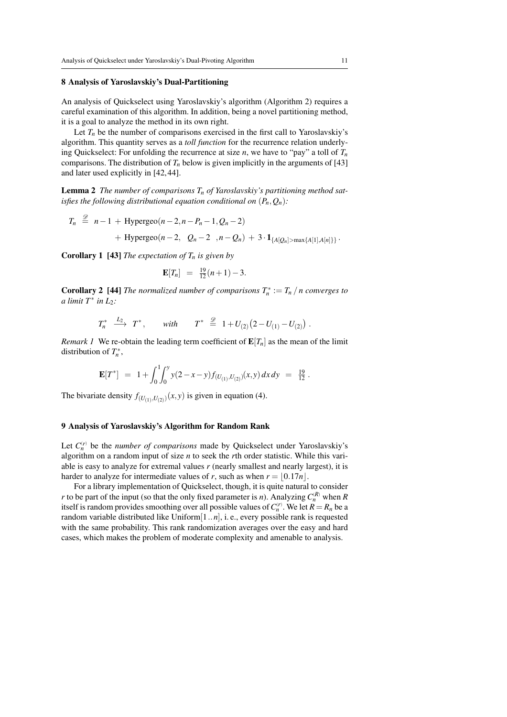#### <span id="page-10-0"></span>8 Analysis of Yaroslavskiy's Dual-Partitioning

An analysis of Quickselect using Yaroslavskiy's algorithm (Algorithm [2\)](#page-4-1) requires a careful examination of this algorithm. In addition, being a novel partitioning method, it is a goal to analyze the method in its own right.

Let  $T<sub>n</sub>$  be the number of comparisons exercised in the first call to Yaroslavskiy's algorithm. This quantity serves as a *toll function* for the recurrence relation underlying Quickselect: For unfolding the recurrence at size *n*, we have to "pay" a toll of *T<sup>n</sup>* comparisons. The distribution of  $T<sub>n</sub>$  below is given implicitly in the arguments of [\[43\]](#page-21-5) and later used explicitly in [\[42,](#page-21-8) [44\]](#page-21-7).

Lemma 2 *The number of comparisons T<sup>n</sup> of Yaroslavskiy's partitioning method satisfies the following distributional equation conditional on*  $(P_n, O_n)$ :

 $T_n \stackrel{\mathscr{D}}{=} n-1 + \text{Hypergeo}(n-2, n-P_n-1, Q_n-2)$ + Hypergeo(*n* − 2,  $Q_n$  − 2 , *n* −  $Q_n$ ) + 3 · 1<sub>{*A*[ $Q_n$ |>max{*A*[1],*A*[*n*]}} .</sub>

<span id="page-10-2"></span>Corollary 1 [\[43\]](#page-21-5) *The expectation of T<sup>n</sup> is given by*

$$
\mathbf{E}[T_n] = \frac{19}{12}(n+1) - 3.
$$

<span id="page-10-3"></span>**Corollary 2** [\[44\]](#page-21-7) *The normalized number of comparisons*  $T_n^* := T_n / n$  *converges to a limit T*<sup>∗</sup> *in L*2*:*

$$
T_n^* \xrightarrow{L_2} T^*, \quad \text{with} \quad T^* \xrightarrow{\mathscr{D}} 1 + U_{(2)}(2 - U_{(1)} - U_{(2)}) .
$$

*Remark 1* We re-obtain the leading term coefficient of  $E[T_n]$  as the mean of the limit distribution of  $T_n^*$ ,

$$
\mathbf{E}[T^*] = 1 + \int_0^1 \int_0^y y(2-x-y) f_{(U_{(1)},U_{(2)})}(x,y) dx dy = \frac{19}{12}.
$$

The bivariate density  $f_{(U_{(1)}, U_{(2)})}(x, y)$  is given in equation [\(4\)](#page-9-0).

#### <span id="page-10-1"></span>9 Analysis of Yaroslavskiy's Algorithm for Random Rank

Let  $C_n^{(r)}$  be the *number of comparisons* made by Quickselect under Yaroslavskiy's algorithm on a random input of size *n* to seek the *r*th order statistic. While this variable is easy to analyze for extremal values *r* (nearly smallest and nearly largest), it is harder to analyze for intermediate values of *r*, such as when  $r = \lfloor 0.17n \rfloor$ .

For a library implementation of Quickselect, though, it is quite natural to consider *r* to be part of the input (so that the only fixed parameter is *n*). Analyzing  $C_n^{(R)}$  when *R* itself is random provides smoothing over all possible values of  $C_n^{(r)}$ . We let  $R = R_n$  be a random variable distributed like Uniform[1..*n*], i. e., every possible rank is requested with the same probability. This rank randomization averages over the easy and hard cases, which makes the problem of moderate complexity and amenable to analysis.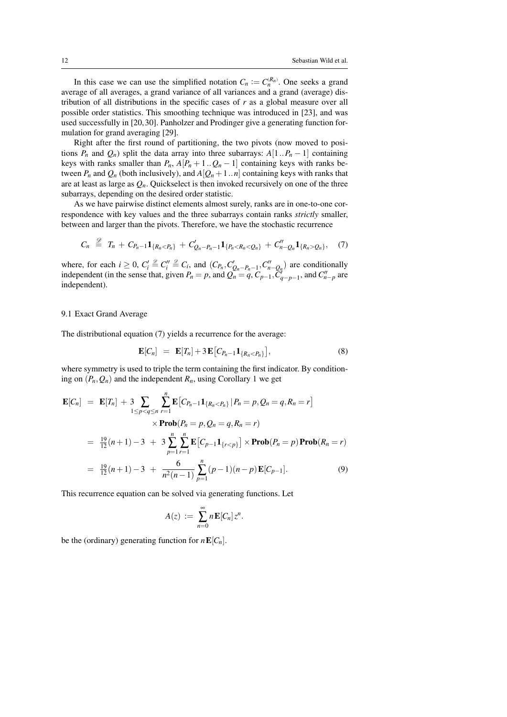In this case we can use the simplified notation  $C_n := C_n^{(R_n)}$ . One seeks a grand average of all averages, a grand variance of all variances and a grand (average) distribution of all distributions in the specific cases of *r* as a global measure over all possible order statistics. This smoothing technique was introduced in [\[23\]](#page-20-17), and was used successfully in [\[20,](#page-20-18) [30\]](#page-21-9). Panholzer and Prodinger give a generating function formulation for grand averaging [\[29\]](#page-21-10).

Right after the first round of partitioning, the two pivots (now moved to positions  $P_n$  and  $Q_n$ ) split the data array into three subarrays:  $A[1..P_n-1]$  containing keys with ranks smaller than  $P_n$ ,  $A[P_n + 1..Q_n - 1]$  containing keys with ranks between  $P_n$  and  $Q_n$  (both inclusively), and  $A[Q_n + 1..n]$  containing keys with ranks that are at least as large as  $Q_n$ . Quickselect is then invoked recursively on one of the three subarrays, depending on the desired order statistic.

As we have pairwise distinct elements almost surely, ranks are in one-to-one correspondence with key values and the three subarrays contain ranks *strictly* smaller, between and larger than the pivots. Therefore, we have the stochastic recurrence

<span id="page-11-1"></span>
$$
C_n \stackrel{\mathscr{D}}{=} T_n + C_{P_n-1} \mathbf{1}_{\{R_n < P_n\}} + C'_{Q_n-P_n-1} \mathbf{1}_{\{P_n < R_n < Q_n\}} + C''_{n-Q_n} \mathbf{1}_{\{R_n > Q_n\}}, \quad (7)
$$

where, for each  $i \ge 0$ ,  $C_i' \triangleq C_i'' \triangleq C_i$ , and  $(C_{P_n}, C_{Q_n-P_n-1}', C_{n-Q_n}'')$  are conditionally independent (in the sense that, given  $P_n = p$ , and  $Q_n = q$ ,  $C_{p-1}$ ,  $\tilde{C}_{q-p-1}^j$ , and  $C_{n-p}^{\prime\prime}$  are independent).

## <span id="page-11-0"></span>9.1 Exact Grand Average

The distributional equation [\(7\)](#page-11-1) yields a recurrence for the average:

$$
\mathbf{E}[C_n] = \mathbf{E}[T_n] + 3\mathbf{E}[C_{P_n-1}\mathbf{1}_{\{R_n < P_n\}}],\tag{8}
$$

where symmetry is used to triple the term containing the first indicator. By conditioning on  $(P_n, Q_n)$  and the independent  $R_n$ , using Corollary [1](#page-10-2) we get

$$
\mathbf{E}[C_n] = \mathbf{E}[T_n] + 3 \sum_{1 \le p < q \le n} \sum_{r=1}^n \mathbf{E}[C_{P_n-1} \mathbf{1}_{\{R_n < P_n\}} | P_n = p, Q_n = q, R_n = r] \\
\times \mathbf{Prob}(P_n = p, Q_n = q, R_n = r) \\
= \frac{19}{12}(n+1) - 3 + 3 \sum_{p=1}^n \sum_{r=1}^n \mathbf{E}[C_{p-1} \mathbf{1}_{\{r < p\}}] \times \mathbf{Prob}(P_n = p) \mathbf{Prob}(R_n = r) \\
= \frac{19}{12}(n+1) - 3 + \frac{6}{n^2(n-1)} \sum_{p=1}^n (p-1)(n-p) \mathbf{E}[C_{p-1}].\n\tag{9}
$$

This recurrence equation can be solved via generating functions. Let

<span id="page-11-2"></span>
$$
A(z) := \sum_{n=0}^{\infty} n \mathbf{E}[C_n] z^n.
$$

be the (ordinary) generating function for  $n \mathbf{E}[C_n]$ .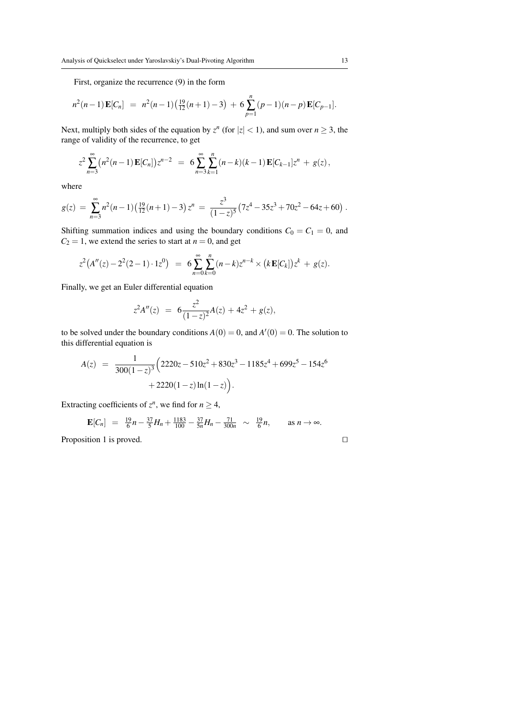First, organize the recurrence [\(9\)](#page-11-2) in the form

$$
n^{2}(n-1)\mathbf{E}[C_{n}] = n^{2}(n-1)\left(\frac{19}{12}(n+1)-3\right) + 6\sum_{p=1}^{n} (p-1)(n-p)\mathbf{E}[C_{p-1}].
$$

Next, multiply both sides of the equation by  $z^n$  (for  $|z| < 1$ ), and sum over  $n \ge 3$ , the range of validity of the recurrence, to get

$$
z^2 \sum_{n=3}^{\infty} (n^2(n-1) \mathbf{E}[C_n]) z^{n-2} = 6 \sum_{n=3}^{\infty} \sum_{k=1}^n (n-k)(k-1) \mathbf{E}[C_{k-1}] z^n + g(z),
$$

where

$$
g(z) = \sum_{n=3}^{\infty} n^2(n-1) \left( \frac{19}{12}(n+1) - 3 \right) z^n = \frac{z^3}{(1-z)^5} \left( 7z^4 - 35z^3 + 70z^2 - 64z + 60 \right).
$$

Shifting summation indices and using the boundary conditions  $C_0 = C_1 = 0$ , and  $C_2 = 1$ , we extend the series to start at  $n = 0$ , and get

$$
z^{2}(A''(z)-2^{2}(2-1)\cdot 1 z^{0}) = 6\sum_{n=0}^{\infty} \sum_{k=0}^{n} (n-k) z^{n-k} \times (k\mathbf{E}[C_{k}]) z^{k} + g(z).
$$

Finally, we get an Euler differential equation

$$
z^2 A''(z) = 6 \frac{z^2}{(1-z)^2} A(z) + 4z^2 + g(z),
$$

to be solved under the boundary conditions  $A(0) = 0$ , and  $A'(0) = 0$ . The solution to this differential equation is

$$
A(z) = \frac{1}{300(1-z)^3} \left( 2220z - 510z^2 + 830z^3 - 1185z^4 + 699z^5 - 154z^6 + 2220(1-z)\ln(1-z) \right).
$$

Extracting coefficients of  $z^n$ , we find for  $n \geq 4$ ,

$$
\mathbf{E}[C_n] = \frac{19}{6}n - \frac{37}{5}H_n + \frac{1183}{100} - \frac{37}{5n}H_n - \frac{71}{300n} \sim \frac{19}{6}n, \quad \text{as } n \to \infty.
$$

Proposition [1](#page-6-1) is proved.

| ۰ |  |
|---|--|
|   |  |
|   |  |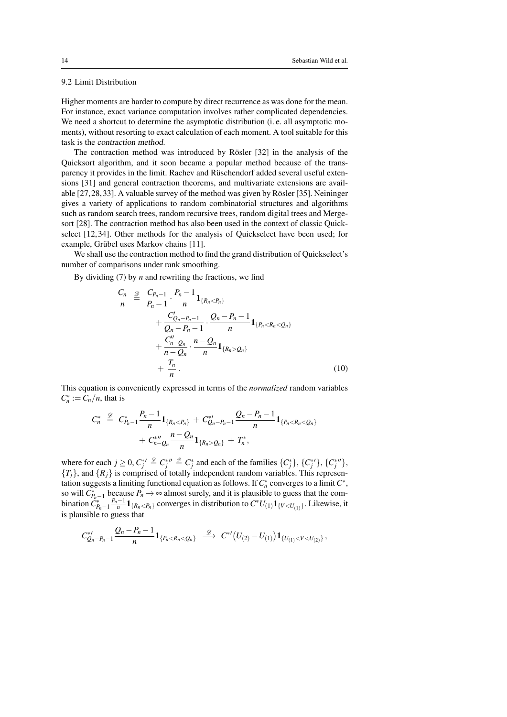### <span id="page-13-0"></span>9.2 Limit Distribution

Higher moments are harder to compute by direct recurrence as was done for the mean. For instance, exact variance computation involves rather complicated dependencies. We need a shortcut to determine the asymptotic distribution (i. e. all asymptotic moments), without resorting to exact calculation of each moment. A tool suitable for this task is the contraction method.

The contraction method was introduced by Rösler [\[32\]](#page-21-11) in the analysis of the Quicksort algorithm, and it soon became a popular method because of the transparency it provides in the limit. Rachev and Rüschendorf added several useful extensions [\[31\]](#page-21-12) and general contraction theorems, and multivariate extensions are available [\[27,](#page-21-13) [28,](#page-21-14) [33\]](#page-21-15). A valuable survey of the method was given by Rösler [\[35\]](#page-21-16). Neininger gives a variety of applications to random combinatorial structures and algorithms such as random search trees, random recursive trees, random digital trees and Mergesort [\[28\]](#page-21-14). The contraction method has also been used in the context of classic Quickselect [\[12,](#page-20-19) [34\]](#page-21-17). Other methods for the analysis of Quickselect have been used; for example, Grübel uses Markov chains [\[11\]](#page-20-20).

We shall use the contraction method to find the grand distribution of Quickselect's number of comparisons under rank smoothing.

By dividing [\(7\)](#page-11-1) by *n* and rewriting the fractions, we find

$$
\frac{C_n}{n} \stackrel{\mathcal{D}}{=} \frac{C_{P_n-1}}{P_n-1} \cdot \frac{P_n-1}{n} \mathbf{1}_{\{R_n < P_n\}} \\
+ \frac{C'_{Q_n-P_n-1}}{Q_n-P_n-1} \cdot \frac{Q_n-P_n-1}{n} \mathbf{1}_{\{P_n < R_n < Q_n\}} \\
+ \frac{C''_{n-Q_n}}{n-Q_n} \cdot \frac{n-Q_n}{n} \mathbf{1}_{\{R_n > Q_n\}} \\
+ \frac{T_n}{n} \tag{10}
$$

This equation is conveniently expressed in terms of the *normalized* random variables  $C_n^* := C_n/n$ , that is

$$
C_n^* \stackrel{\mathscr{D}}{=} C_{P_n-1}^* \frac{P_n-1}{n} \mathbf{1}_{\{R_n < P_n\}} + C_{Q_n-P_n-1}^* \frac{Q_n-P_n-1}{n} \mathbf{1}_{\{P_n < R_n < Q_n\}} \\ + C_{n-Q_n}^{*n} \frac{n-Q_n}{n} \mathbf{1}_{\{R_n > Q_n\}} + T_n^*,
$$

where for each  $j \ge 0$ ,  $C_j^* \stackrel{\mathscr{D}}{=} C_j^* \stackrel{\mathscr{D}}{=} C_j^*$  and each of the families  $\{C_j^*\}, \{C_j^*\}, \{C_j^*\}$ ,  ${T_j}$ , and  ${R_j}$  is comprised of totally independent random variables. This representation suggests a limiting functional equation as follows. If  $C_n^*$  converges to a limit  $C^*$ , so will  $C_{p_{n-1}}^*$  because  $P_n \to \infty$  almost surely, and it is plausible to guess that the combination  $C_{P_n-1}^* \frac{P_n-1}{n} \mathbf{1}_{\{R_n < P_n\}}$  converges in distribution to  $C^*U_{(1)} \mathbf{1}_{\{V < U_{(1)}\}}$ . Likewise, it is plausible to guess that

$$
C_{Q_n-P_n-1}^{*'}\frac{Q_n-P_n-1}{n}\mathbf{1}_{\{P_n
$$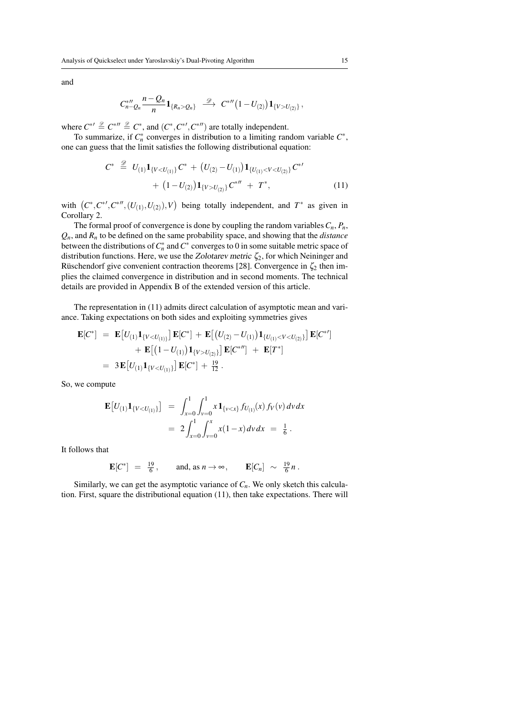and

$$
C_{n-Q_n}^{*\prime\prime}\frac{n-Q_n}{n}\mathbf{1}_{\{R_n>Q_n\}}\;\;\stackrel{\mathscr{D}}{\longrightarrow}\;C^{*\prime\prime}\big(1-U_{(2)}\big)\mathbf{1}_{\{V>U_{(2)}\}},
$$

where  $C^{*} \triangleq C^{*}$   $\cong C^{*}$ , and  $(C^{*}, C^{*} \cdot C^{*} \cdot T)$  are totally independent.

To summarize, if  $C_n^*$  converges in distribution to a limiting random variable  $C^*$ , one can guess that the limit satisfies the following distributional equation:

<span id="page-14-0"></span>
$$
C^* \stackrel{\mathscr{D}}{=} U_{(1)} \mathbf{1}_{\{V < U_{(1)}\}} C^* + (U_{(2)} - U_{(1)}) \mathbf{1}_{\{U_{(1)} < V < U_{(2)}\}} C^{*'} + (1 - U_{(2)}) \mathbf{1}_{\{V > U_{(2)}\}} C^{*''} + T^*, \tag{11}
$$

with  $(C^*, C^{*,\prime}, C^{*,\prime\prime}, (U_{(1)}, U_{(2)}), V)$  being totally independent, and  $T^*$  as given in Corollary [2.](#page-10-3)

The formal proof of convergence is done by coupling the random variables  $C_n$ ,  $P_n$ , *Qn*, and *R<sup>n</sup>* to be defined on the same probability space, and showing that the *distance* between the distributions of  $C_n^*$  and  $C^*$  converges to 0 in some suitable metric space of distribution functions. Here, we use the Zolotarev metric  $\zeta_2$ , for which Neininger and Rüschendorf give convenient contraction theorems [\[28\]](#page-21-14). Convergence in  $\zeta_2$  then implies the claimed convergence in distribution and in second moments. The technical details are provided in Appendix B of the [extended version](http://arxiv.org/abs/1306.3819) of this article.

The representation in [\(11\)](#page-14-0) admits direct calculation of asymptotic mean and variance. Taking expectations on both sides and exploiting symmetries gives

$$
\mathbf{E}[C^*] = \mathbf{E}[U_{(1)}\mathbf{1}_{\{V < U_{(1)\}}}] \mathbf{E}[C^*] + \mathbf{E}[(U_{(2)} - U_{(1)})\mathbf{1}_{\{U_{(1)} < V < U_{(2)\}}}] \mathbf{E}[C^*]
$$
  
+ 
$$
\mathbf{E}[(1 - U_{(1)})\mathbf{1}_{\{V > U_{(2)\}}}] \mathbf{E}[C^{*''}] + \mathbf{E}[T^*]
$$
  
= 
$$
3\mathbf{E}[U_{(1)}\mathbf{1}_{\{V < U_{(1)\}}}] \mathbf{E}[C^*] + \frac{19}{12}.
$$

So, we compute

$$
\mathbf{E}[U_{(1)}\mathbf{1}_{\{V  
= 
$$
2 \int_{x=0}^{1} \int_{v=0}^{x} x(1-x) dv dx = \frac{1}{6}.
$$
$$

It follows that

$$
\mathbf{E}[C^*] = \frac{19}{6}, \quad \text{and, as } n \to \infty, \quad \mathbf{E}[C_n] \sim \frac{19}{6}n.
$$

Similarly, we can get the asymptotic variance of  $C<sub>n</sub>$ . We only sketch this calculation. First, square the distributional equation [\(11\)](#page-14-0), then take expectations. There will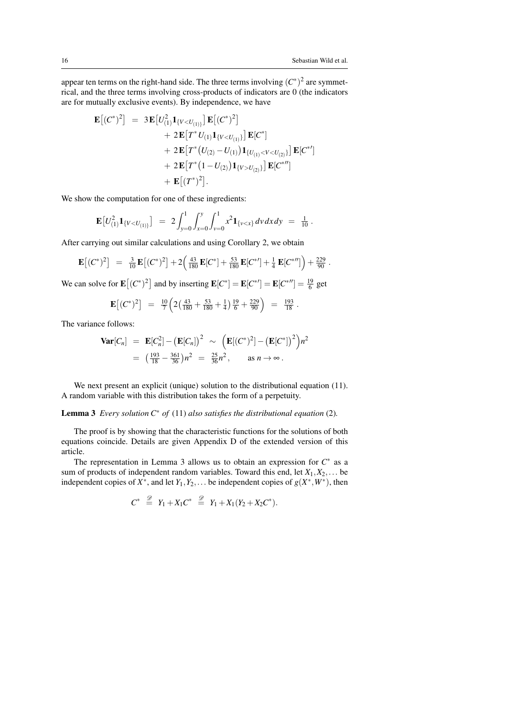appear ten terms on the right-hand side. The three terms involving  $(C^*)^2$  are symmetrical, and the three terms involving cross-products of indicators are 0 (the indicators are for mutually exclusive events). By independence, we have

$$
\mathbf{E}\left[(C^*)^2\right] = 3\mathbf{E}\left[U_{(1)}^2\mathbf{1}_{\{V < U_{(1)\}}}\right]\mathbf{E}\left[(C^*)^2\right] \n+ 2\mathbf{E}\left[T^*U_{(1)}\mathbf{1}_{\{V < U_{(1)\}}}\right]\mathbf{E}[C^*] \n+ 2\mathbf{E}\left[T^*(U_{(2)} - U_{(1)})\mathbf{1}_{\{U_{(1)} < V < U_{(2)\}}}\right]\mathbf{E}[C^{*'}] \n+ 2\mathbf{E}\left[T^*(1-U_{(2)})\mathbf{1}_{\{V > U_{(2)\}}}\right]\mathbf{E}[C^{*''}] \n+ \mathbf{E}\left[(T^*)^2\right].
$$

We show the computation for one of these ingredients:

$$
\mathbf{E}\big[U_{(1)}^2\mathbf{1}_{\{V
$$

After carrying out similar calculations and using Corollary [2,](#page-10-3) we obtain

$$
\mathbf{E}\left[ (C^*)^2 \right] = \frac{3}{10} \mathbf{E}\left[ (C^*)^2 \right] + 2 \left( \frac{43}{180} \mathbf{E}[C^*] + \frac{53}{180} \mathbf{E}[C^{*'}] + \frac{1}{4} \mathbf{E}[C^{*''}] \right) + \frac{229}{90}.
$$

We can solve for  $\mathbf{E}[(C^*)^2]$  and by inserting  $\mathbf{E}[C^*] = \mathbf{E}[C^{*}'] = \mathbf{E}[C^{*}'] = \frac{19}{6}$  get

$$
\mathbf{E}\left[ (C^*)^2 \right] = \frac{10}{7} \left( 2\left( \frac{43}{180} + \frac{53}{180} + \frac{1}{4} \right) \frac{19}{6} + \frac{229}{90} \right) = \frac{193}{18}.
$$

The variance follows:

$$
\begin{array}{rcl}\n\textbf{Var}[C_n] & = & \mathbf{E}[C_n^2] - \left(\mathbf{E}[C_n]\right)^2 & \sim \left(\mathbf{E}[(C^*)^2] - \left(\mathbf{E}[C^*]\right)^2\right)n^2 \\
& = & \left(\frac{193}{18} - \frac{361}{36}\right)n^2 = \frac{25}{36}n^2, \qquad \text{as } n \to \infty \,.\n\end{array}
$$

We next present an explicit (unique) solution to the distributional equation [\(11\)](#page-14-0). A random variable with this distribution takes the form of a perpetuity.

## <span id="page-15-0"></span>Lemma 3 *Every solution C*<sup>∗</sup> *of* [\(11\)](#page-14-0) *also satisfies the distributional equation* [\(2\)](#page-6-2)*.*

The proof is by showing that the characteristic functions for the solutions of both equations coincide. Details are given Appendix D of the [extended version](http://arxiv.org/abs/1306.3819) of this article.

The representation in Lemma [3](#page-15-0) allows us to obtain an expression for  $C^*$  as a sum of products of independent random variables. Toward this end, let  $X_1, X_2, \ldots$  be independent copies of  $X^*$ , and let  $Y_1, Y_2, \ldots$  be independent copies of  $g(X^*, W^*)$ , then

$$
C^* \stackrel{\mathscr{D}}{=} Y_1 + X_1 C^* \stackrel{\mathscr{D}}{=} Y_1 + X_1 (Y_2 + X_2 C^*).
$$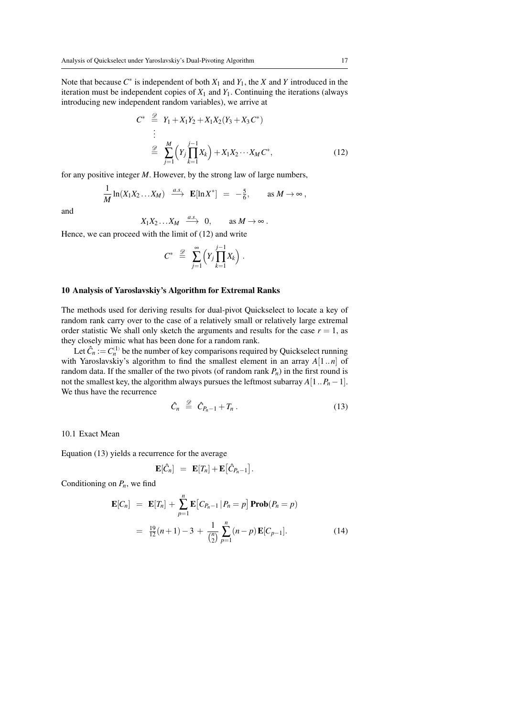Note that because  $C^*$  is independent of both  $X_1$  and  $Y_1$ , the  $X$  and  $Y$  introduced in the iteration must be independent copies of  $X_1$  and  $Y_1$ . Continuing the iterations (always introducing new independent random variables), we arrive at

$$
C^* \stackrel{\mathscr{D}}{=} Y_1 + X_1 Y_2 + X_1 X_2 (Y_3 + X_3 C^*)
$$
  
\n
$$
\vdots
$$
  
\n
$$
\stackrel{\mathscr{D}}{=} \sum_{j=1}^M \left(Y_j \prod_{k=1}^{j-1} X_k\right) + X_1 X_2 \cdots X_M C^*,
$$
  
\n(12)

for any positive integer *M*. However, by the strong law of large numbers,

$$
\frac{1}{M}\ln(X_1X_2\ldots X_M) \xrightarrow{a.s.} \mathbf{E}[\ln X^*] = -\frac{5}{6}, \quad \text{as } M \to \infty,
$$

and

$$
X_1 X_2 \dots X_M \xrightarrow{a.s.} 0, \quad \text{as } M \to \infty.
$$

Hence, we can proceed with the limit of [\(12\)](#page-16-2) and write

<span id="page-16-2"></span>
$$
C^* \triangleq \sum_{j=1}^{\infty} \left(Y_j \prod_{k=1}^{j-1} X_k\right).
$$

### <span id="page-16-0"></span>10 Analysis of Yaroslavskiy's Algorithm for Extremal Ranks

The methods used for deriving results for dual-pivot Quickselect to locate a key of random rank carry over to the case of a relatively small or relatively large extremal order statistic We shall only sketch the arguments and results for the case  $r = 1$ , as they closely mimic what has been done for a random rank.

Let  $\hat{C}_n := C_n^{(1)}$  be the number of key comparisons required by Quickselect running with Yaroslavskiy's algorithm to find the smallest element in an array *A*[1..*n*] of random data. If the smaller of the two pivots (of random rank *Pn*) in the first round is not the smallest key, the algorithm always pursues the leftmost subarray  $A[1..P_n-1]$ . We thus have the recurrence

<span id="page-16-3"></span>
$$
\hat{C}_n \stackrel{\mathscr{D}}{=} \hat{C}_{P_n-1} + T_n \,. \tag{13}
$$

<span id="page-16-1"></span>10.1 Exact Mean

Equation [\(13\)](#page-16-3) yields a recurrence for the average

<span id="page-16-4"></span>
$$
\mathbf{E}[\hat{C}_n] = \mathbf{E}[T_n] + \mathbf{E}[\hat{C}_{P_n-1}].
$$

Conditioning on *Pn*, we find

$$
\mathbf{E}[C_n] = \mathbf{E}[T_n] + \sum_{p=1}^n \mathbf{E}[C_{P_n-1} | P_n = p] \mathbf{Prob}(P_n = p)
$$
  
=  $\frac{19}{12}(n+1) - 3 + \frac{1}{\binom{n}{2}} \sum_{p=1}^n (n-p) \mathbf{E}[C_{p-1}].$  (14)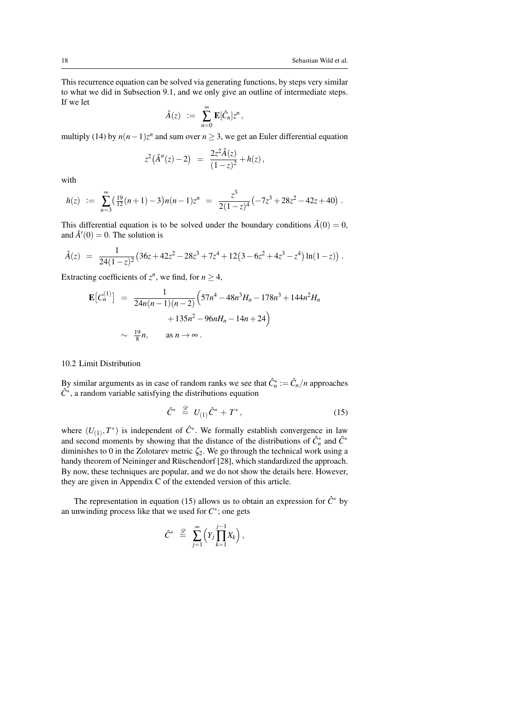This recurrence equation can be solved via generating functions, by steps very similar to what we did in Subsection [9.1,](#page-11-0) and we only give an outline of intermediate steps. If we let

$$
\hat{A}(z) := \sum_{n=0}^{\infty} \mathbf{E}[\hat{C}_n] z^n,
$$

multiply [\(14\)](#page-16-4) by  $n(n-1)z^n$  and sum over  $n \geq 3$ , we get an Euler differential equation

$$
z^2(\hat{A}''(z)-2) = \frac{2z^2\hat{A}(z)}{(1-z)^2} + h(z),
$$

with

$$
h(z) \; := \; \sum_{n=3}^{\infty} \left(\frac{19}{12}(n+1)-3\right)n(n-1)z^n \; = \; \frac{z^3}{2(1-z)^4} \left(-7z^3+28z^2-42z+40\right).
$$

This differential equation is to be solved under the boundary conditions  $\hat{A}(0) = 0$ , and  $\hat{A}'(0) = 0$ . The solution is

$$
\hat{A}(z) = \frac{1}{24(1-z)^2} \left( 36z + 42z^2 - 28z^3 + 7z^4 + 12(3 - 6z^2 + 4z^3 - z^4) \ln(1-z) \right).
$$

Extracting coefficients of  $z^n$ , we find, for  $n \geq 4$ ,

$$
\mathbf{E}\left[C_n^{(1)}\right] = \frac{1}{24n(n-1)(n-2)} \left(57n^4 - 48n^3H_n - 178n^3 + 144n^2H_n + 135n^2 - 96nH_n - 14n + 24\right)
$$
  
  $\sim \frac{19}{8}n, \quad \text{as } n \to \infty.$ 

## <span id="page-17-0"></span>10.2 Limit Distribution

By similar arguments as in case of random ranks we see that  $\hat{C}_n^* := \hat{C}_n/n$  approaches *C*ˆ∗ , a random variable satisfying the distributions equation

<span id="page-17-1"></span>
$$
\hat{C}^* \stackrel{\mathscr{D}}{=} U_{(1)}\hat{C}^* + T^*, \tag{15}
$$

where  $(U_{(1)}, T^*)$  is independent of  $\hat{C}^*$ . We formally establish convergence in law and second moments by showing that the distance of the distributions of  $\hat{C}_n^*$  and  $\hat{C}^*$ diminishes to 0 in the Zolotarev metric  $\zeta_2$ . We go through the technical work using a handy theorem of Neininger and Rüschendorf [\[28\]](#page-21-14), which standardized the approach. By now, these techniques are popular, and we do not show the details here. However, they are given in Appendix C of the [extended version](http://arxiv.org/abs/1306.3819) of this article.

The representation in equation [\(15\)](#page-17-1) allows us to obtain an expression for  $\hat{C}^*$  by an unwinding process like that we used for  $C^*$ ; one gets

$$
\hat{C}^* \stackrel{\mathscr{D}}{=} \sum_{j=1}^\infty \left(Y_j \prod_{k=1}^{j-1} X_k\right),
$$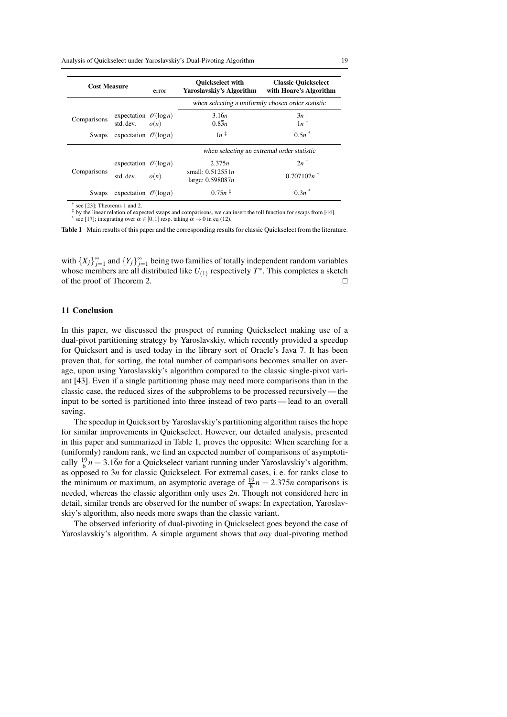| <b>Cost Measure</b> |                                                | error                                             | <b>Ouickselect with</b><br>Yaroslavskiy's Algorithm | <b>Classic Ouickselect</b><br>with Hoare's Algorithm |
|---------------------|------------------------------------------------|---------------------------------------------------|-----------------------------------------------------|------------------------------------------------------|
|                     |                                                | when selecting a uniformly chosen order statistic |                                                     |                                                      |
| Comparisons         | expectation $\mathcal{O}(\log n)$<br>std. dev. | o(n)                                              | $3.1\overline{6}n$<br>$0.8\overline{3}n$            | $3n^{\dagger}$<br>$1n^{\dagger}$                     |
| Swaps               | expectation $\mathcal{O}(\log n)$              |                                                   | $1n^{\ddagger}$                                     | $0.5n^*$                                             |
|                     |                                                |                                                   | when selecting an extremal order statistic          |                                                      |
| Comparisons         | expectation $\mathcal{O}(\log n)$              |                                                   | 2.375n                                              | $2n^{\dagger}$                                       |
|                     | std. dev.                                      | o(n)                                              | small: $0.512551n$<br>large: $0.598087n$            | $0.707107n$ <sup>†</sup>                             |
| Swaps               | expectation $\mathcal{O}(\log n)$              |                                                   | $0.75n \;$                                          | $0.\overline{3}n^*$                                  |

<span id="page-18-2"></span>† see [\[23\]](#page-20-17); Theorems 1 and 2.

<span id="page-18-4"></span><span id="page-18-3"></span>‡ by the linear relation of expected swaps and comparisons, we can insert the toll function for swaps from [\[44\]](#page-21-7). \* see [\[17\]](#page-20-21); integrating over  $\alpha \in [0,1]$  resp. taking  $\alpha \to 0$  in eq (12).

<span id="page-18-0"></span>Table 1 Main results of this paper and the corresponding results for classic Quickselect from the literature.

with  $\{X_j\}_{j=1}^{\infty}$  and  $\{Y_j\}_{j=1}^{\infty}$  being two families of totally independent random variables whose members are all distributed like  $U_{(1)}$  respectively  $T^*$ . This completes a sketch of the proof of Theorem [2.](#page-7-2)  $\Box$ 

#### <span id="page-18-1"></span>11 Conclusion

In this paper, we discussed the prospect of running Quickselect making use of a dual-pivot partitioning strategy by Yaroslavskiy, which recently provided a speedup for Quicksort and is used today in the library sort of Oracle's Java 7. It has been proven that, for sorting, the total number of comparisons becomes smaller on average, upon using Yaroslavskiy's algorithm compared to the classic single-pivot variant [\[43\]](#page-21-5). Even if a single partitioning phase may need more comparisons than in the classic case, the reduced sizes of the subproblems to be processed recursively— the input to be sorted is partitioned into three instead of two parts — lead to an overall saving.

The speedup in Quicksort by Yaroslavskiy's partitioning algorithm raises the hope for similar improvements in Quickselect. However, our detailed analysis, presented in this paper and summarized in Table [1,](#page-18-0) proves the opposite: When searching for a (uniformly) random rank, we find an expected number of comparisons of asymptotically  $\frac{19}{6}n = 3.1\overline{6}n$  for a Quickselect variant running under Yaroslavskiy's algorithm, as opposed to 3*n* for classic Quickselect. For extremal cases, i. e. for ranks close to the minimum or maximum, an asymptotic average of  $\frac{19}{8}n = 2.375n$  comparisons is needed, whereas the classic algorithm only uses 2*n*. Though not considered here in detail, similar trends are observed for the number of swaps: In expectation, Yaroslavskiy's algorithm, also needs more swaps than the classic variant.

The observed inferiority of dual-pivoting in Quickselect goes beyond the case of Yaroslavskiy's algorithm. A simple argument shows that *any* dual-pivoting method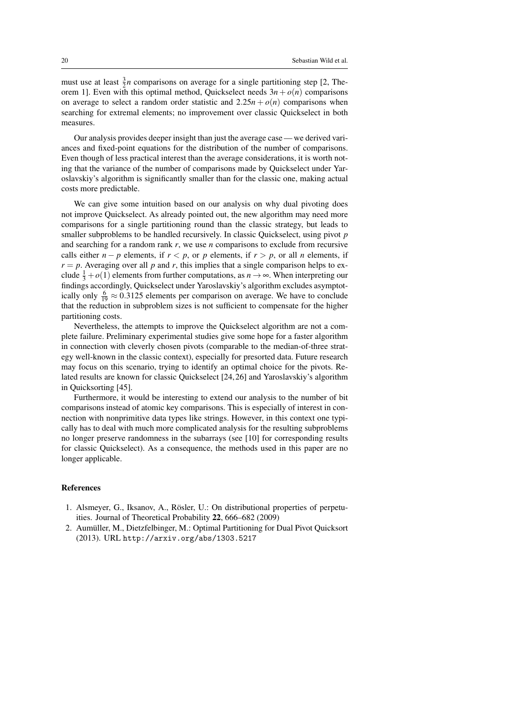must use at least  $\frac{3}{2}n$  comparisons on average for a single partitioning step [\[2,](#page-19-1) Theorem 1]. Even with this optimal method, Quickselect needs  $3n + o(n)$  comparisons on average to select a random order statistic and  $2.25n + o(n)$  comparisons when searching for extremal elements; no improvement over classic Quickselect in both measures.

Our analysis provides deeper insight than just the average case— we derived variances and fixed-point equations for the distribution of the number of comparisons. Even though of less practical interest than the average considerations, it is worth noting that the variance of the number of comparisons made by Quickselect under Yaroslavskiy's algorithm is significantly smaller than for the classic one, making actual costs more predictable.

We can give some intuition based on our analysis on why dual pivoting does not improve Quickselect. As already pointed out, the new algorithm may need more comparisons for a single partitioning round than the classic strategy, but leads to smaller subproblems to be handled recursively. In classic Quickselect, using pivot *p* and searching for a random rank *r*, we use *n* comparisons to exclude from recursive calls either *n* − *p* elements, if *r* < *p*, or *p* elements, if *r* > *p*, or all *n* elements, if  $r = p$ . Averaging over all *p* and *r*, this implies that a single comparison helps to exclude  $\frac{1}{3} + o(1)$  elements from further computations, as  $n \to \infty$ . When interpreting our findings accordingly, Quickselect under Yaroslavskiy's algorithm excludes asymptotically only  $\frac{6}{19} \approx 0.3125$  elements per comparison on average. We have to conclude that the reduction in subproblem sizes is not sufficient to compensate for the higher partitioning costs.

Nevertheless, the attempts to improve the Quickselect algorithm are not a complete failure. Preliminary experimental studies give some hope for a faster algorithm in connection with cleverly chosen pivots (comparable to the median-of-three strategy well-known in the classic context), especially for presorted data. Future research may focus on this scenario, trying to identify an optimal choice for the pivots. Related results are known for classic Quickselect [\[24,](#page-20-22) [26\]](#page-21-18) and Yaroslavskiy's algorithm in Quicksorting [\[45\]](#page-21-19).

Furthermore, it would be interesting to extend our analysis to the number of bit comparisons instead of atomic key comparisons. This is especially of interest in connection with nonprimitive data types like strings. However, in this context one typically has to deal with much more complicated analysis for the resulting subproblems no longer preserve randomness in the subarrays (see [\[10\]](#page-20-9) for corresponding results for classic Quickselect). As a consequence, the methods used in this paper are no longer applicable.

#### References

- <span id="page-19-0"></span>1. Alsmeyer, G., Iksanov, A., Rösler, U.: On distributional properties of perpetuities. Journal of Theoretical Probability 22, 666–682 (2009)
- <span id="page-19-1"></span>2. Aumüller, M., Dietzfelbinger, M.: Optimal Partitioning for Dual Pivot Quicksort (2013). URL <http://arxiv.org/abs/1303.5217>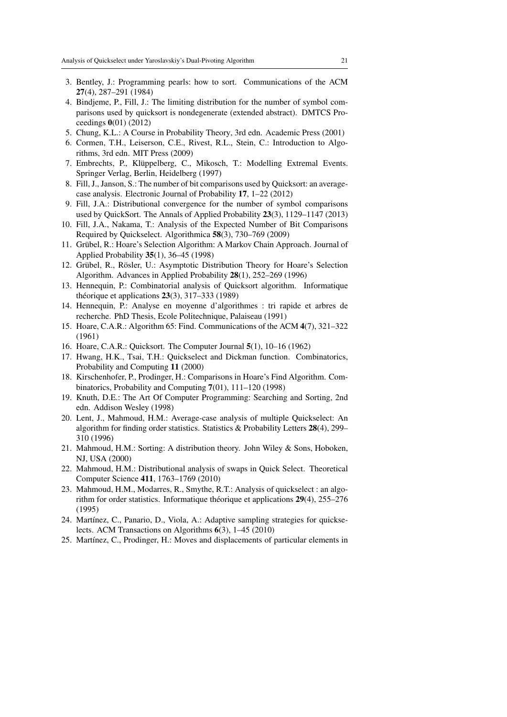- <span id="page-20-14"></span>3. Bentley, J.: Programming pearls: how to sort. Communications of the ACM 27(4), 287–291 (1984)
- <span id="page-20-6"></span>4. Bindjeme, P., Fill, J.: The limiting distribution for the number of symbol comparisons used by quicksort is nondegenerate (extended abstract). DMTCS Proceedings 0(01) (2012)
- <span id="page-20-16"></span>5. Chung, K.L.: A Course in Probability Theory, 3rd edn. Academic Press (2001)
- <span id="page-20-1"></span>6. Cormen, T.H., Leiserson, C.E., Rivest, R.L., Stein, C.: Introduction to Algorithms, 3rd edn. MIT Press (2009)
- <span id="page-20-15"></span>7. Embrechts, P., Klüppelberg, C., Mikosch, T.: Modelling Extremal Events. Springer Verlag, Berlin, Heidelberg (1997)
- <span id="page-20-7"></span>8. Fill, J., Janson, S.: The number of bit comparisons used by Quicksort: an averagecase analysis. Electronic Journal of Probability 17, 1–22 (2012)
- <span id="page-20-8"></span>9. Fill, J.A.: Distributional convergence for the number of symbol comparisons used by QuickSort. The Annals of Applied Probability 23(3), 1129–1147 (2013)
- <span id="page-20-9"></span>10. Fill, J.A., Nakama, T.: Analysis of the Expected Number of Bit Comparisons Required by Quickselect. Algorithmica 58(3), 730–769 (2009)
- <span id="page-20-20"></span>11. Grübel, R.: Hoare's Selection Algorithm: A Markov Chain Approach. Journal of Applied Probability 35(1), 36–45 (1998)
- <span id="page-20-19"></span>12. Grübel, R., Rösler, U.: Asymptotic Distribution Theory for Hoare's Selection Algorithm. Advances in Applied Probability 28(1), 252–269 (1996)
- <span id="page-20-13"></span>13. Hennequin, P.: Combinatorial analysis of Quicksort algorithm. Informatique théorique et applications 23(3), 317–333 (1989)
- <span id="page-20-12"></span>14. Hennequin, P.: Analyse en moyenne d'algorithmes : tri rapide et arbres de recherche. PhD Thesis, Ecole Politechnique, Palaiseau (1991)
- <span id="page-20-4"></span>15. Hoare, C.A.R.: Algorithm 65: Find. Communications of the ACM 4(7), 321–322 (1961)
- <span id="page-20-0"></span>16. Hoare, C.A.R.: Quicksort. The Computer Journal 5(1), 10–16 (1962)
- <span id="page-20-21"></span>17. Hwang, H.K., Tsai, T.H.: Quickselect and Dickman function. Combinatorics, Probability and Computing 11 (2000)
- <span id="page-20-5"></span>18. Kirschenhofer, P., Prodinger, H.: Comparisons in Hoare's Find Algorithm. Combinatorics, Probability and Computing 7(01), 111–120 (1998)
- <span id="page-20-2"></span>19. Knuth, D.E.: The Art Of Computer Programming: Searching and Sorting, 2nd edn. Addison Wesley (1998)
- <span id="page-20-18"></span>20. Lent, J., Mahmoud, H.M.: Average-case analysis of multiple Quickselect: An algorithm for finding order statistics. Statistics & Probability Letters 28(4), 299– 310 (1996)
- <span id="page-20-3"></span>21. Mahmoud, H.M.: Sorting: A distribution theory. John Wiley & Sons, Hoboken, NJ, USA (2000)
- <span id="page-20-10"></span>22. Mahmoud, H.M.: Distributional analysis of swaps in Quick Select. Theoretical Computer Science 411, 1763–1769 (2010)
- <span id="page-20-17"></span>23. Mahmoud, H.M., Modarres, R., Smythe, R.T.: Analysis of quickselect : an algorithm for order statistics. Informatique théorique et applications 29(4), 255–276 (1995)
- <span id="page-20-22"></span>24. Martínez, C., Panario, D., Viola, A.: Adaptive sampling strategies for quickselects. ACM Transactions on Algorithms 6(3), 1–45 (2010)
- <span id="page-20-11"></span>25. Martínez, C., Prodinger, H.: Moves and displacements of particular elements in